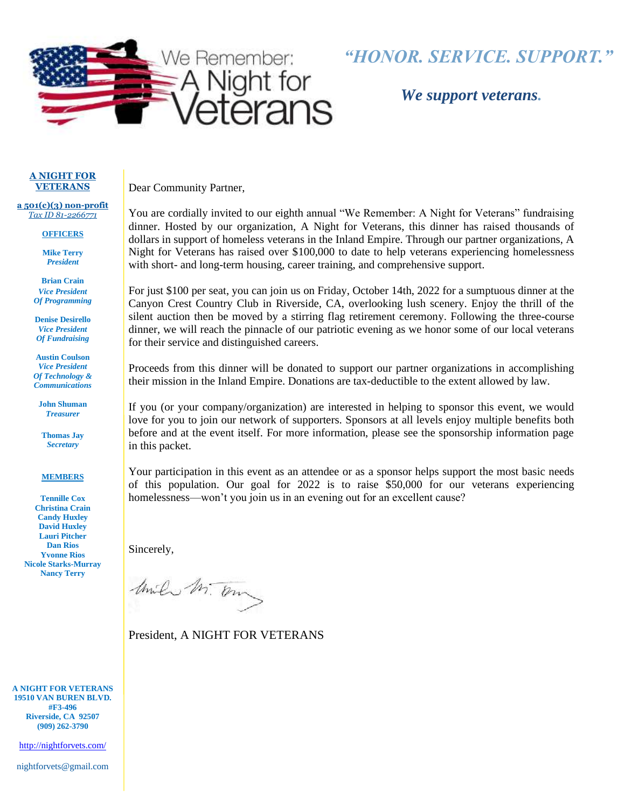

# *"HONOR. SERVICE. SUPPORT."*

 *We support veterans.*

#### **A NIGHT FOR VETERANS**

**a 501(c)(3) non-profit** *Tax ID 81-2266771*

#### **OFFICERS**

**Mike Terry** *President*

**Brian Crain** *Vice President Of Programming*

**Denise Desirello** *Vice President Of Fundraising*

**Austin Coulson** *Vice President Of Technology & Communications*

**John Shuman** *Treasurer*

**Thomas Jay** *Secretary*

#### **MEMBERS**

**Tennille Cox Christina Crain Candy Huxley David Huxley Lauri Pitcher Dan Rios Yvonne Rios Nicole Starks-Murray Nancy Terry**

**A NIGHT FOR VETERANS 19510 VAN BUREN BLVD. #F3-496 Riverside, CA 92507 (909) 262-3790**

<http://nightforvets.com/>

nightforvets@gmail.com

Dear Community Partner,

You are cordially invited to our eighth annual "We Remember: A Night for Veterans" fundraising dinner. Hosted by our organization, A Night for Veterans, this dinner has raised thousands of dollars in support of homeless veterans in the Inland Empire. Through our partner organizations, A Night for Veterans has raised over \$100,000 to date to help veterans experiencing homelessness with short- and long-term housing, career training, and comprehensive support.

For just \$100 per seat, you can join us on Friday, October 14th, 2022 for a sumptuous dinner at the Canyon Crest Country Club in Riverside, CA, overlooking lush scenery. Enjoy the thrill of the silent auction then be moved by a stirring flag retirement ceremony. Following the three-course dinner, we will reach the pinnacle of our patriotic evening as we honor some of our local veterans for their service and distinguished careers.

Proceeds from this dinner will be donated to support our partner organizations in accomplishing their mission in the Inland Empire. Donations are tax-deductible to the extent allowed by law.

If you (or your company/organization) are interested in helping to sponsor this event, we would love for you to join our network of supporters. Sponsors at all levels enjoy multiple benefits both before and at the event itself. For more information, please see the sponsorship information page in this packet.

Your participation in this event as an attendee or as a sponsor helps support the most basic needs of this population. Our goal for 2022 is to raise \$50,000 for our veterans experiencing homelessness—won't you join us in an evening out for an excellent cause?

Sincerely,

Unile M. On

President, A NIGHT FOR VETERANS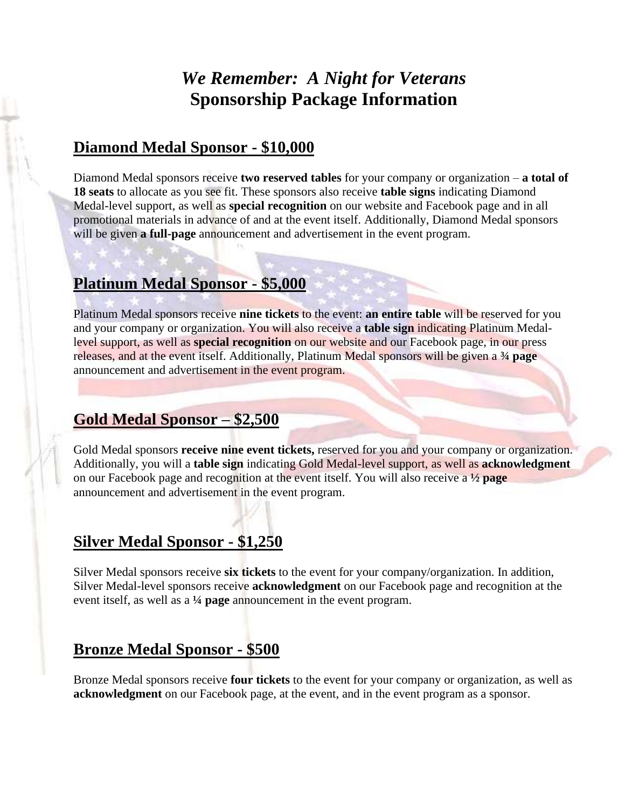# *We Remember: A Night for Veterans* **Sponsorship Package Information**

#### **Diamond Medal Sponsor - \$10,000**

Diamond Medal sponsors receive **two reserved tables** for your company or organization – **a total of 18 seats** to allocate as you see fit. These sponsors also receive **table signs** indicating Diamond Medal-level support, as well as **special recognition** on our website and Facebook page and in all promotional materials in advance of and at the event itself. Additionally, Diamond Medal sponsors will be given **a full-page** announcement and advertisement in the event program.

### **Platinum Medal Sponsor - \$5,000**

l

Platinum Medal sponsors receive **nine tickets** to the event: **an entire table** will be reserved for you and your company or organization. You will also receive a **table sign** indicating Platinum Medallevel support, as well as **special recognition** on our website and our Facebook page, in our press releases, and at the event itself. Additionally, Platinum Medal sponsors will be given a **¾ page** announcement and advertisement in the event program.

### **Gold Medal Sponsor – \$2,500**

Gold Medal sponsors **receive nine event tickets,** reserved for you and your company or organization. Additionally, you will a **table sign** indicating Gold Medal-level support, as well as **acknowledgment** on our Facebook page and recognition at the event itself. You will also receive a **½ page** announcement and advertisement in the event program.

## **Silver Medal Sponsor - \$1,250**

Silver Medal sponsors receive **six tickets** to the event for your company/organization. In addition, Silver Medal-level sponsors receive **acknowledgment** on our Facebook page and recognition at the event itself, as well as a **¼ page** announcement in the event program.

## **Bronze Medal Sponsor - \$500**

Bronze Medal sponsors receive **four tickets** to the event for your company or organization, as well as **acknowledgment** on our Facebook page, at the event, and in the event program as a sponsor.